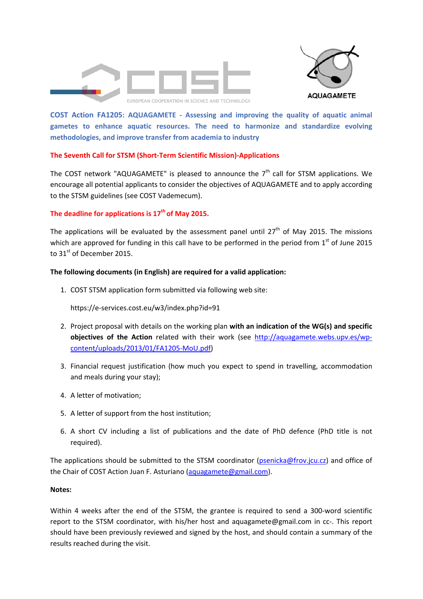



**COST Action FA1205: AQUAGAMETE ‐ Assessing and improving the quality of aquatic animal gametes to enhance aquatic resources. The need to harmonize and standardize evolving methodologies, and improve transfer from academia to industry**

# **The Seventh Call for STSM (Short‐Term Scientific Mission)‐Applications**

The COST network "AQUAGAMETE" is pleased to announce the  $7<sup>th</sup>$  call for STSM applications. We encourage all potential applicants to consider the objectives of AQUAGAMETE and to apply according to the STSM guidelines (see COST Vademecum).

# **The deadline for applications is 17th of May 2015.**

The applications will be evaluated by the assessment panel until  $27<sup>th</sup>$  of May 2015. The missions which are approved for funding in this call have to be performed in the period from  $1<sup>st</sup>$  of June 2015 to 31<sup>st</sup> of December 2015.

# **The following documents (in English) are required for a valid application:**

1. COST STSM application form submitted via following web site:

https://e‐services.cost.eu/w3/index.php?id=91

- 2. Project proposal with details on the working plan **with an indication of the WG(s) and specific objectives of the Action** related with their work (see http://aquagamete.webs.upv.es/wp‐ content/uploads/2013/01/FA1205‐MoU.pdf)
- 3. Financial request justification (how much you expect to spend in travelling, accommodation and meals during your stay);
- 4. A letter of motivation;
- 5. A letter of support from the host institution;
- 6. A short CV including a list of publications and the date of PhD defence (PhD title is not required).

The applications should be submitted to the STSM coordinator (psenicka@frov.jcu.cz) and office of the Chair of COST Action Juan F. Asturiano (aquagamete@gmail.com).

## **Notes:**

Within 4 weeks after the end of the STSM, the grantee is required to send a 300-word scientific report to the STSM coordinator, with his/her host and aquagamete@gmail.com in cc‐. This report should have been previously reviewed and signed by the host, and should contain a summary of the results reached during the visit.